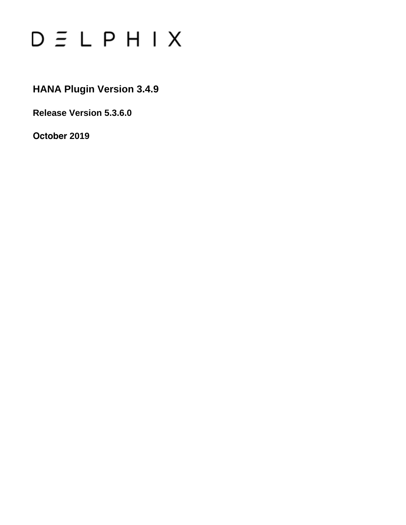# $D \subseteq L$   $P$   $H$   $I$   $X$

### **HANA Plugin Version 3.4.9**

**Release Version 5.3.6.0**

**October 2019**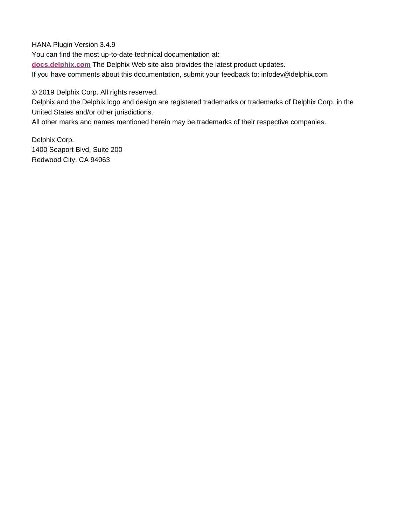HANA Plugin Version 3.4.9 You can find the most up-to-date technical documentation at: **[docs.delphix.com](http://docs.delphix.com)** The Delphix Web site also provides the latest product updates. If you have comments about this documentation, submit your feedback to: infodev@delphix.com

© 2019 Delphix Corp. All rights reserved.

Delphix and the Delphix logo and design are registered trademarks or trademarks of Delphix Corp. in the United States and/or other jurisdictions.

All other marks and names mentioned herein may be trademarks of their respective companies.

Delphix Corp. 1400 Seaport Blvd, Suite 200 Redwood City, CA 94063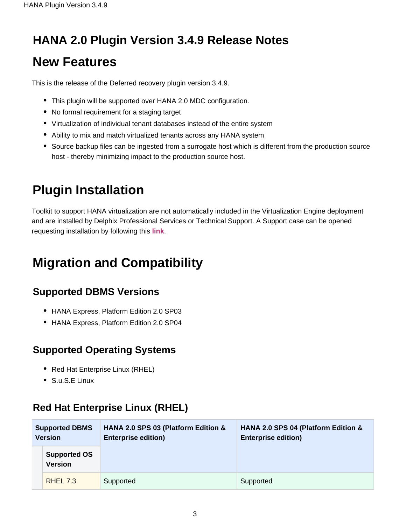## **HANA 2.0 Plugin Version 3.4.9 Release Notes**

## **New Features**

This is the release of the Deferred recovery plugin version 3.4.9.

- This plugin will be supported over HANA 2.0 MDC configuration.
- No formal requirement for a staging target
- Virtualization of individual tenant databases instead of the entire system
- Ability to mix and match virtualized tenants across any HANA system
- Source backup files can be ingested from a surrogate host which is different from the production source host - thereby minimizing impact to the production source host.

## **Plugin Installation**

Toolkit to support HANA virtualization are not automatically included in the Virtualization Engine deployment and are installed by Delphix Professional Services or Technical Support. A Support case can be opened requesting installation by following this **[link](http://support-tickets.delphix.com/)**.

## **Migration and Compatibility**

#### **Supported DBMS Versions**

- HANA Express, Platform Edition 2.0 SP03
- HANA Express, Platform Edition 2.0 SP04

#### **Supported Operating Systems**

- Red Hat Enterprise Linux (RHEL)
- S.u.S.E Linux

#### **Red Hat Enterprise Linux (RHEL)**

| <b>Supported DBMS</b><br><b>Version</b> |                                       | HANA 2.0 SPS 03 (Platform Edition &<br><b>Enterprise edition)</b> | HANA 2.0 SPS 04 (Platform Edition &<br><b>Enterprise edition)</b> |  |
|-----------------------------------------|---------------------------------------|-------------------------------------------------------------------|-------------------------------------------------------------------|--|
|                                         | <b>Supported OS</b><br><b>Version</b> |                                                                   |                                                                   |  |
|                                         | <b>RHEL 7.3</b>                       | Supported                                                         | Supported                                                         |  |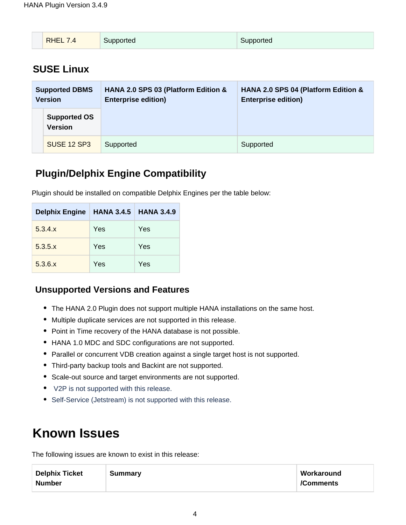| <b>RHEL 7.4</b> | Supported | Supported |
|-----------------|-----------|-----------|
|                 |           |           |

#### **SUSE Linux**

| <b>Supported DBMS</b><br><b>Version</b> |                                       | HANA 2.0 SPS 03 (Platform Edition &<br><b>Enterprise edition)</b> | HANA 2.0 SPS 04 (Platform Edition &<br><b>Enterprise edition)</b> |  |
|-----------------------------------------|---------------------------------------|-------------------------------------------------------------------|-------------------------------------------------------------------|--|
|                                         | <b>Supported OS</b><br><b>Version</b> |                                                                   |                                                                   |  |
|                                         | <b>SUSE 12 SP3</b>                    | Supported                                                         | Supported                                                         |  |

#### **Plugin/Delphix Engine Compatibility**

Plugin should be installed on compatible Delphix Engines per the table below:

| Delphix Engine   HANA 3.4.5 |     | <b>HANA 3.4.9</b> |
|-----------------------------|-----|-------------------|
| 5.3.4.x                     | Yes | Yes               |
| 5.3.5.x                     | Yes | Yes               |
| 5.3.6.x                     | Yes | Yes               |

#### **Unsupported Versions and Features**

- The HANA 2.0 Plugin does not support multiple HANA installations on the same host.
- Multiple duplicate services are not supported in this release.
- Point in Time recovery of the HANA database is not possible.
- HANA 1.0 MDC and SDC configurations are not supported.
- Parallel or concurrent VDB creation against a single target host is not supported.
- Third-party backup tools and Backint are not supported.
- Scale-out source and target environments are not supported.
- V2P is not supported with this release.
- Self-Service (Jetstream) is not supported with this release.

## **Known Issues**

The following issues are known to exist in this release:

| <b>Delphix Ticket</b> | Summary | Workaround |
|-----------------------|---------|------------|
| Number                |         | /Comments  |